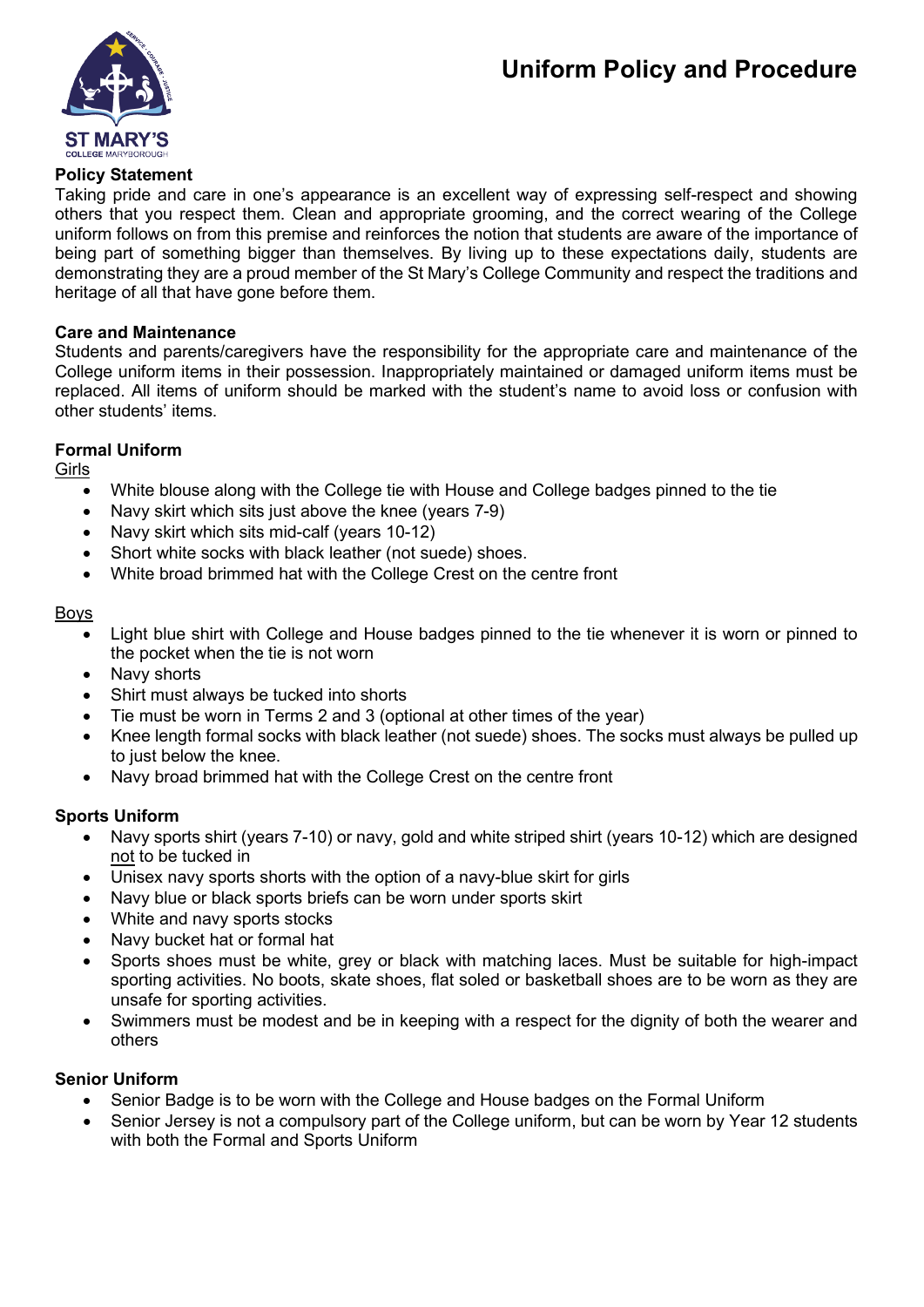## **Uniform Policy and Procedure**



## **Policy Statement**

Taking pride and care in one's appearance is an excellent way of expressing self-respect and showing others that you respect them. Clean and appropriate grooming, and the correct wearing of the College uniform follows on from this premise and reinforces the notion that students are aware of the importance of being part of something bigger than themselves. By living up to these expectations daily, students are demonstrating they are a proud member of the St Mary's College Community and respect the traditions and heritage of all that have gone before them.

## **Care and Maintenance**

Students and parents/caregivers have the responsibility for the appropriate care and maintenance of the College uniform items in their possession. Inappropriately maintained or damaged uniform items must be replaced. All items of uniform should be marked with the student's name to avoid loss or confusion with other students' items.

## **Formal Uniform**

Girls

- White blouse along with the College tie with House and College badges pinned to the tie
- Navy skirt which sits just above the knee (years 7-9)
- Navy skirt which sits mid-calf (years 10-12)
- Short white socks with black leather (not suede) shoes.
- White broad brimmed hat with the College Crest on the centre front

## Boys

- Light blue shirt with College and House badges pinned to the tie whenever it is worn or pinned to the pocket when the tie is not worn
- Navy shorts
- Shirt must always be tucked into shorts
- Tie must be worn in Terms 2 and 3 (optional at other times of the year)
- Knee length formal socks with black leather (not suede) shoes. The socks must always be pulled up to just below the knee.
- Navy broad brimmed hat with the College Crest on the centre front

## **Sports Uniform**

- Navy sports shirt (years 7-10) or navy, gold and white striped shirt (years 10-12) which are designed not to be tucked in
- Unisex navy sports shorts with the option of a navy-blue skirt for girls
- Navy blue or black sports briefs can be worn under sports skirt
- White and navy sports stocks
- Navy bucket hat or formal hat
- Sports shoes must be white, grey or black with matching laces. Must be suitable for high-impact sporting activities. No boots, skate shoes, flat soled or basketball shoes are to be worn as they are unsafe for sporting activities.
- Swimmers must be modest and be in keeping with a respect for the dignity of both the wearer and others

## **Senior Uniform**

- Senior Badge is to be worn with the College and House badges on the Formal Uniform
- Senior Jersey is not a compulsory part of the College uniform, but can be worn by Year 12 students with both the Formal and Sports Uniform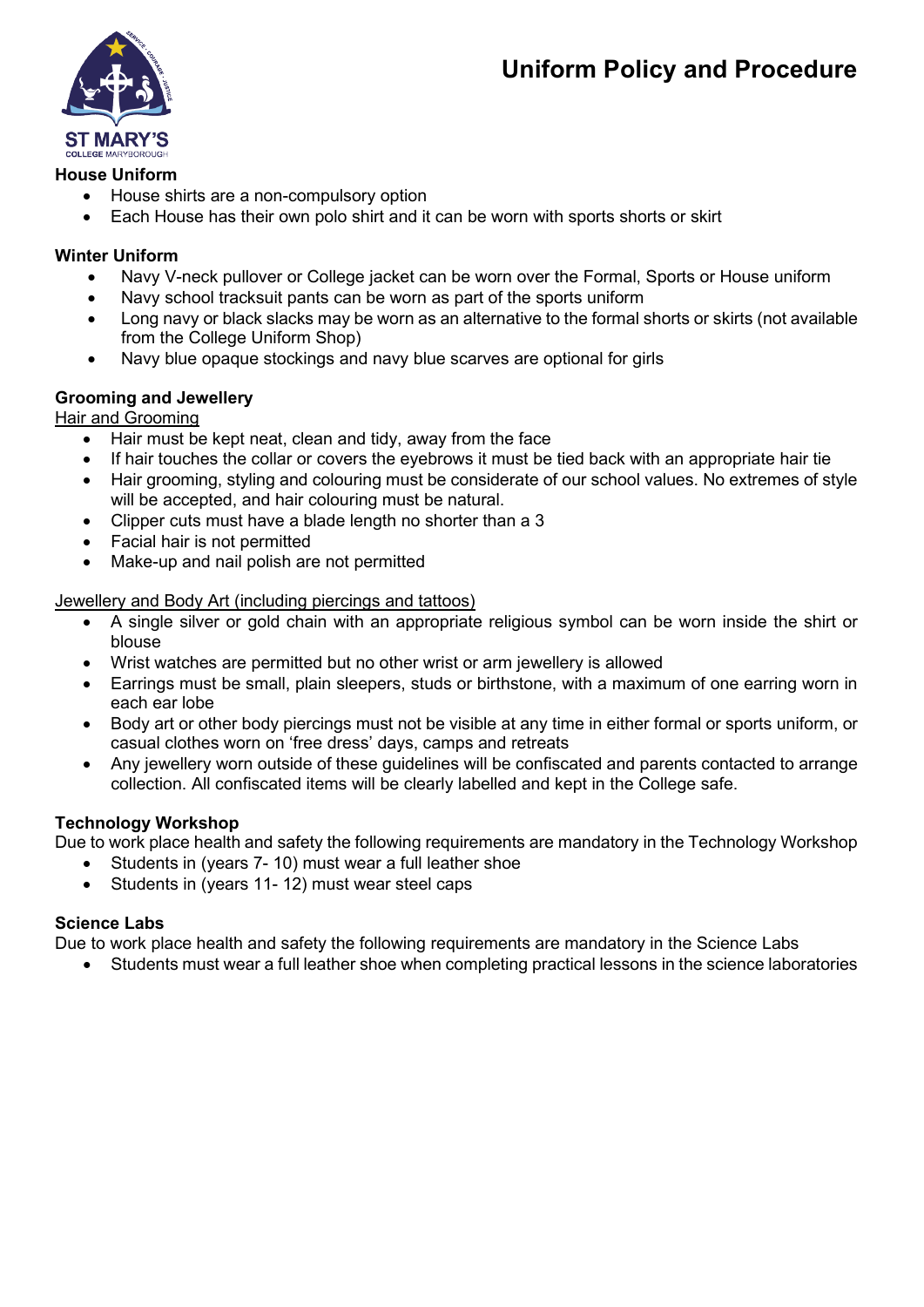## **Uniform Policy and Procedure**



## **House Uniform**

- House shirts are a non-compulsory option
- Each House has their own polo shirt and it can be worn with sports shorts or skirt

## **Winter Uniform**

- Navy V-neck pullover or College jacket can be worn over the Formal, Sports or House uniform
- Navy school tracksuit pants can be worn as part of the sports uniform
- Long navy or black slacks may be worn as an alternative to the formal shorts or skirts (not available from the College Uniform Shop)
- Navy blue opaque stockings and navy blue scarves are optional for girls

## **Grooming and Jewellery**

Hair and Grooming

- Hair must be kept neat, clean and tidy, away from the face
- If hair touches the collar or covers the eyebrows it must be tied back with an appropriate hair tie
- Hair grooming, styling and colouring must be considerate of our school values. No extremes of style will be accepted, and hair colouring must be natural.
- Clipper cuts must have a blade length no shorter than a 3
- Facial hair is not permitted
- Make-up and nail polish are not permitted

## Jewellery and Body Art (including piercings and tattoos)

- A single silver or gold chain with an appropriate religious symbol can be worn inside the shirt or blouse
- Wrist watches are permitted but no other wrist or arm jewellery is allowed
- Earrings must be small, plain sleepers, studs or birthstone, with a maximum of one earring worn in each ear lobe
- Body art or other body piercings must not be visible at any time in either formal or sports uniform, or casual clothes worn on 'free dress' days, camps and retreats
- Any jewellery worn outside of these guidelines will be confiscated and parents contacted to arrange collection. All confiscated items will be clearly labelled and kept in the College safe.

## **Technology Workshop**

Due to work place health and safety the following requirements are mandatory in the Technology Workshop

- Students in (years 7- 10) must wear a full leather shoe
- Students in (years 11- 12) must wear steel caps

## **Science Labs**

Due to work place health and safety the following requirements are mandatory in the Science Labs

• Students must wear a full leather shoe when completing practical lessons in the science laboratories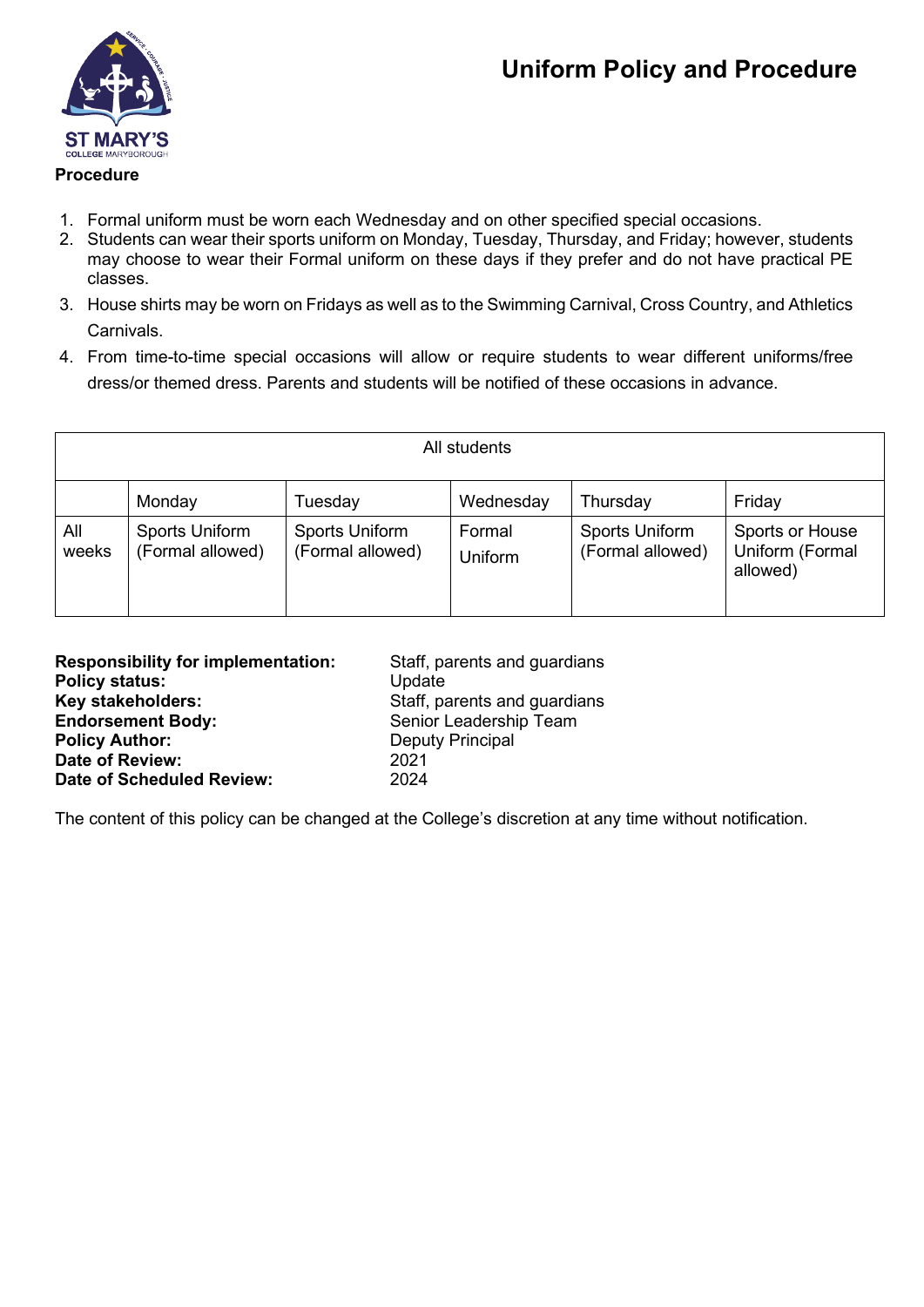

## **Procedure**

- 1. Formal uniform must be worn each Wednesday and on other specified special occasions.
- 2. Students can wear their sports uniform on Monday, Tuesday, Thursday, and Friday; however, students may choose to wear their Formal uniform on these days if they prefer and do not have practical PE classes.
- 3. House shirts may be worn on Fridays as well as to the Swimming Carnival, Cross Country, and Athletics Carnivals.
- 4. From time-to-time special occasions will allow or require students to wear different uniforms/free dress/or themed dress. Parents and students will be notified of these occasions in advance.

| All students |                                    |                                    |                   |                                           |                                                |  |  |
|--------------|------------------------------------|------------------------------------|-------------------|-------------------------------------------|------------------------------------------------|--|--|
|              | Monday                             | Tuesday                            | Wednesday         | Thursday                                  | Friday                                         |  |  |
| All<br>weeks | Sports Uniform<br>(Formal allowed) | Sports Uniform<br>(Formal allowed) | Formal<br>Uniform | <b>Sports Uniform</b><br>(Formal allowed) | Sports or House<br>Uniform (Formal<br>allowed) |  |  |

| <b>Responsibility for implementation:</b> | Staff, parents and guardians |
|-------------------------------------------|------------------------------|
| <b>Policy status:</b>                     | Update                       |
| Key stakeholders:                         | Staff, parents and guardians |
| <b>Endorsement Body:</b>                  | Senior Leadership Team       |
| <b>Policy Author:</b>                     | <b>Deputy Principal</b>      |
| Date of Review:                           | 2021                         |
| <b>Date of Scheduled Review:</b>          | 2024                         |

The content of this policy can be changed at the College's discretion at any time without notification.